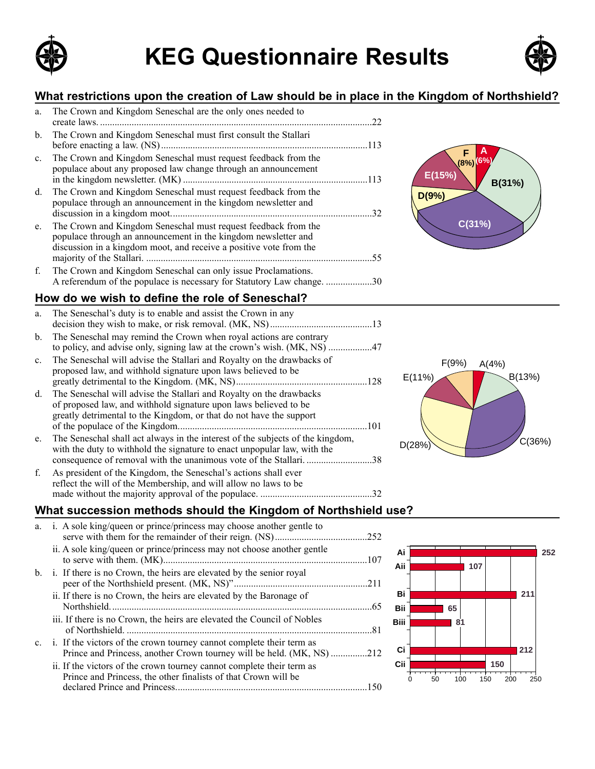

# **KEG Questionnaire Results Example 3 KEG Questionnaire Results**



#### **What restrictions upon the creation of Law should be in place in the Kingdom of Northshield?**

| a.             | The Crown and Kingdom Seneschal are the only ones needed to                                                                                                                                            | 22  |
|----------------|--------------------------------------------------------------------------------------------------------------------------------------------------------------------------------------------------------|-----|
| $b_{-}$        | The Crown and Kingdom Seneschal must first consult the Stallari                                                                                                                                        |     |
| $\mathbf{c}$ . | The Crown and Kingdom Seneschal must request feedback from the<br>populace about any proposed law change through an announcement                                                                       |     |
| $d_{\cdot}$    | The Crown and Kingdom Seneschal must request feedback from the<br>populace through an announcement in the kingdom newsletter and                                                                       | 32  |
| e.             | The Crown and Kingdom Seneschal must request feedback from the<br>populace through an announcement in the kingdom newsletter and<br>discussion in a kingdom moot, and receive a positive vote from the | 55. |
| f.             | The Crown and Kingdom Seneschal can only issue Proclamations.                                                                                                                                          |     |
|                |                                                                                                                                                                                                        | .30 |

#### **How do we wish to define the role of Seneschal?**

| a.          | The Seneschal's duty is to enable and assist the Crown in any                                                                                                                                                                  |
|-------------|--------------------------------------------------------------------------------------------------------------------------------------------------------------------------------------------------------------------------------|
| $b_{1}$     | The Seneschal may remind the Crown when royal actions are contrary<br>to policy, and advise only, signing law at the crown's wish. (MK, NS) 47                                                                                 |
| $c_{\cdot}$ | The Seneschal will advise the Stallari and Royalty on the drawbacks of<br>proposed law, and withhold signature upon laws believed to be                                                                                        |
| d.          | The Seneschal will advise the Stallari and Royalty on the drawbacks<br>of proposed law, and withhold signature upon laws believed to be<br>greatly detrimental to the Kingdom, or that do not have the support<br>.101         |
| e.          | The Seneschal shall act always in the interest of the subjects of the kingdom,<br>with the duty to withhold the signature to enact unpopular law, with the<br>consequence of removal with the unanimous vote of the Stallari38 |
| f.          | As president of the Kingdom, the Seneschal's actions shall ever<br>reflect the will of the Membership, and will allow no laws to be<br>32                                                                                      |



**A (6%)**

**F (8%)**

**C(31%)**

**D(9%)**

**E(15%)**

**B(31%)**

#### **What succession methods should the Kingdom of Northshield use?**

| i. A sole king/queen or prince/princess may choose another gentle to                                                                    |                                                                       |
|-----------------------------------------------------------------------------------------------------------------------------------------|-----------------------------------------------------------------------|
| ii. A sole king/queen or prince/princess may not choose another gentle                                                                  |                                                                       |
| i. If there is no Crown, the heirs are elevated by the senior royal                                                                     | .211                                                                  |
| ii. If there is no Crown, the heirs are elevated by the Baronage of                                                                     |                                                                       |
| iii. If there is no Crown, the heirs are elevated the Council of Nobles                                                                 |                                                                       |
| i. If the victors of the crown tourney cannot complete their term as                                                                    |                                                                       |
| ii. If the victors of the crown tourney cannot complete their term as<br>Prince and Princess, the other finalists of that Crown will be |                                                                       |
|                                                                                                                                         | Prince and Princess, another Crown tourney will be held. (MK, NS) 212 |

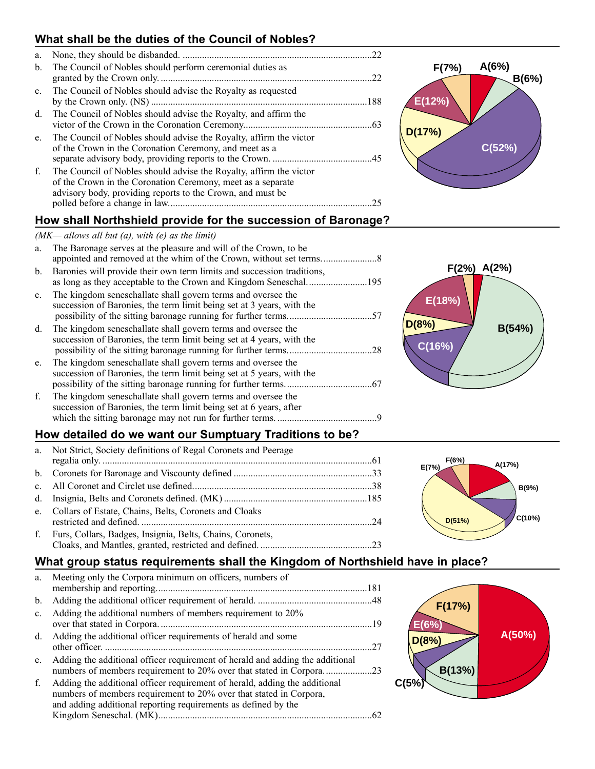## **What shall be the duties of the Council of Nobles?**

| a.             |                                                                                                                                                                                                 | 22 |
|----------------|-------------------------------------------------------------------------------------------------------------------------------------------------------------------------------------------------|----|
| $\mathbf{b}$ . | The Council of Nobles should perform ceremonial duties as                                                                                                                                       |    |
| $c_{\cdot}$    | The Council of Nobles should advise the Royalty as requested                                                                                                                                    |    |
| d.             | The Council of Nobles should advise the Royalty, and affirm the                                                                                                                                 |    |
| $e_{-}$        | The Council of Nobles should advise the Royalty, affirm the victor<br>of the Crown in the Coronation Ceremony, and meet as a                                                                    |    |
| f.             | The Council of Nobles should advise the Royalty, affirm the victor<br>of the Crown in the Coronation Ceremony, meet as a separate<br>advisory body, providing reports to the Crown, and must be | 25 |
|                |                                                                                                                                                                                                 |    |

## **How shall Northshield provide for the succession of Baronage?**

#### $(MK–$  allows all but (a), with (e) as the limit)

| a.             | The Baronage serves at the pleasure and will of the Crown, to be                                                                      |     |
|----------------|---------------------------------------------------------------------------------------------------------------------------------------|-----|
| $b_{-}$        | Baronies will provide their own term limits and succession traditions,                                                                |     |
| $\mathbf{c}$ . | The kingdom seneschallate shall govern terms and oversee the<br>succession of Baronies, the term limit being set at 3 years, with the |     |
| $d_{\cdot}$    | The kingdom seneschallate shall govern terms and oversee the<br>succession of Baronies, the term limit being set at 4 years, with the | .28 |
| e.             | The kingdom seneschallate shall govern terms and oversee the<br>succession of Baronies, the term limit being set at 5 years, with the |     |
| f.             | The kingdom seneschallate shall govern terms and oversee the<br>succession of Baronies, the term limit being set at 6 years, after    |     |

### **How detailed do we want our Sumptuary Traditions to be?**

which the sitting baronage may not run for further terms. .........................................9

| a. Not Strict, Society definitions of Regal Coronets and Peerage |  |
|------------------------------------------------------------------|--|
|                                                                  |  |
|                                                                  |  |
|                                                                  |  |
|                                                                  |  |
| e. Collars of Estate, Chains, Belts, Coronets and Cloaks         |  |
| f. Furs, Collars, Badges, Insignia, Belts, Chains, Coronets,     |  |
|                                                                  |  |

## **What group status requirements shall the Kingdom of Northshield have in place?**

| a.             | Meeting only the Corpora minimum on officers, numbers of                                                                                                                                                           |  |
|----------------|--------------------------------------------------------------------------------------------------------------------------------------------------------------------------------------------------------------------|--|
|                |                                                                                                                                                                                                                    |  |
| $\mathbf{b}$ . |                                                                                                                                                                                                                    |  |
| $c_{-}$        | Adding the additional numbers of members requirement to 20%                                                                                                                                                        |  |
| d.             | Adding the additional officer requirements of herald and some                                                                                                                                                      |  |
| e.             | Adding the additional officer requirement of herald and adding the additional<br>numbers of members requirement to 20% over that stated in Corpora23                                                               |  |
| f.             | Adding the additional officer requirement of herald, adding the additional<br>numbers of members requirement to 20% over that stated in Corpora,<br>and adding additional reporting requirements as defined by the |  |
|                |                                                                                                                                                                                                                    |  |
|                |                                                                                                                                                                                                                    |  |







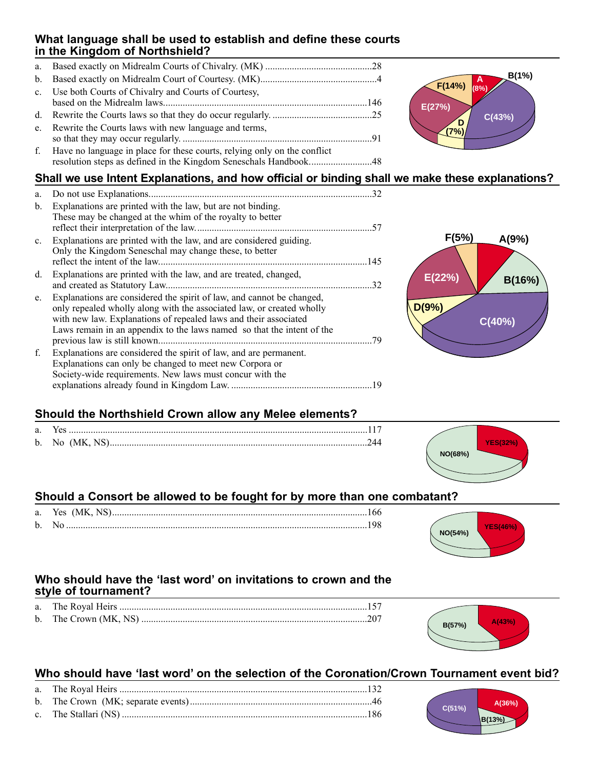#### **What language shall be used to establish and define these courts in the Kingdom of Northshield?**

a. Based exactly on Midrealm Courts of Chivalry. (MK) ............................................28 b. Based exactly on Midrealm Court of Courtesy. (MK)................................................4 c. Use both Courts of Chivalry and Courts of Courtesy, based on the Midrealm laws....................................................................................146 d. Rewrite the Courts laws so that they do occur regularly. .........................................25 e. Rewrite the Courts laws with new language and terms, so that they may occur regularly. ..............................................................................91 f. Have no language in place for these courts, relying only on the conflict resolution steps as defined in the Kingdom Seneschals Handbook..........................48



| a.          |                                                                                                                                                                                                                                                                                              | 32  |
|-------------|----------------------------------------------------------------------------------------------------------------------------------------------------------------------------------------------------------------------------------------------------------------------------------------------|-----|
| b.          | Explanations are printed with the law, but are not binding.<br>These may be changed at the whim of the royalty to better                                                                                                                                                                     | 57  |
| $c_{\cdot}$ | Explanations are printed with the law, and are considered guiding.<br>Only the Kingdom Seneschal may change these, to better                                                                                                                                                                 | 145 |
| d.          | Explanations are printed with the law, and are treated, changed,<br>and created as Statutory Law                                                                                                                                                                                             | 32  |
| e.          | Explanations are considered the spirit of law, and cannot be changed,<br>only repealed wholly along with the associated law, or created wholly<br>with new law. Explanations of repealed laws and their associated<br>Laws remain in an appendix to the laws named so that the intent of the | 79  |
| f.          | Explanations are considered the spirit of law, and are permanent.<br>Explanations can only be changed to meet new Corpora or<br>Society-wide requirements. New laws must concur with the                                                                                                     |     |
|             |                                                                                                                                                                                                                                                                                              | 19  |



**A (8%)**

**(7%)**

**F(14%)**

**E(27%)**

**C(43%) <sup>D</sup>**

**B(1%)**

## **Should the Northshield Crown allow any Melee elements?**

| a. Yes |  |
|--------|--|
|        |  |



## **Should a Consort be allowed to be fought for by more than one combatant?**

## Who should have the 'last word' on invitations to crown and the **style of tournament?**

#### Who should have 'last word' on the selection of the Coronation/Crown Tournament event bid?





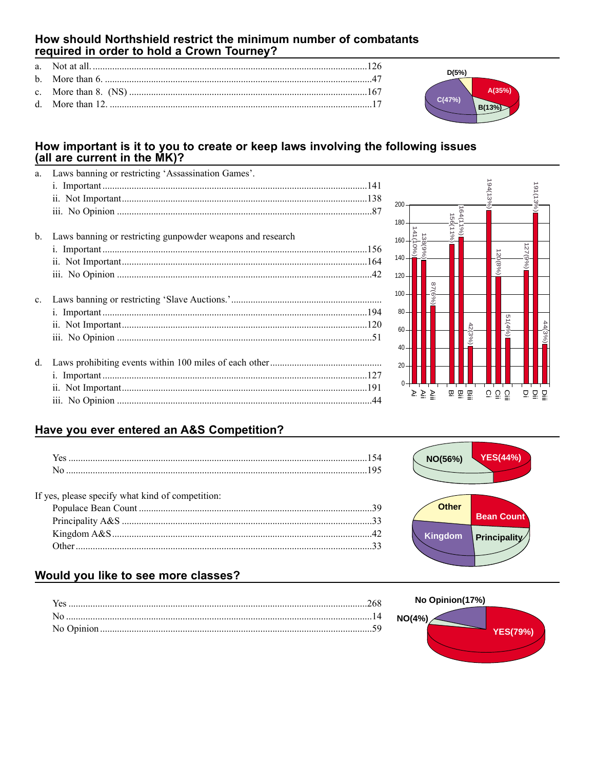#### How should Northshield restrict the minimum number of combatants required in order to hold a Crown Tourney?

#### How important is it to you to create or keep laws involving the following issues (all are current in the MK)?

| a.          | Laws banning or restricting 'Assassination Games'.         |  |
|-------------|------------------------------------------------------------|--|
|             |                                                            |  |
|             |                                                            |  |
|             |                                                            |  |
| b.          | Laws banning or restricting gunpowder weapons and research |  |
|             |                                                            |  |
|             |                                                            |  |
|             |                                                            |  |
| $c_{\cdot}$ |                                                            |  |
|             |                                                            |  |
|             |                                                            |  |
|             |                                                            |  |
| d.          |                                                            |  |
|             |                                                            |  |
|             |                                                            |  |
|             |                                                            |  |



 $D(5%)$ 

 $C(47%)$ 

 $A(35%)$ 

 $B(13%)$ 

## Have you ever entered an A&S Competition?

#### If yes, please specify what kind of competition:

## **YES(44%)** NO(56%) **Other Bean Count** Kingdom Principality

#### Would you like to see more classes?

| Yes |  |
|-----|--|
|     |  |
|     |  |
|     |  |

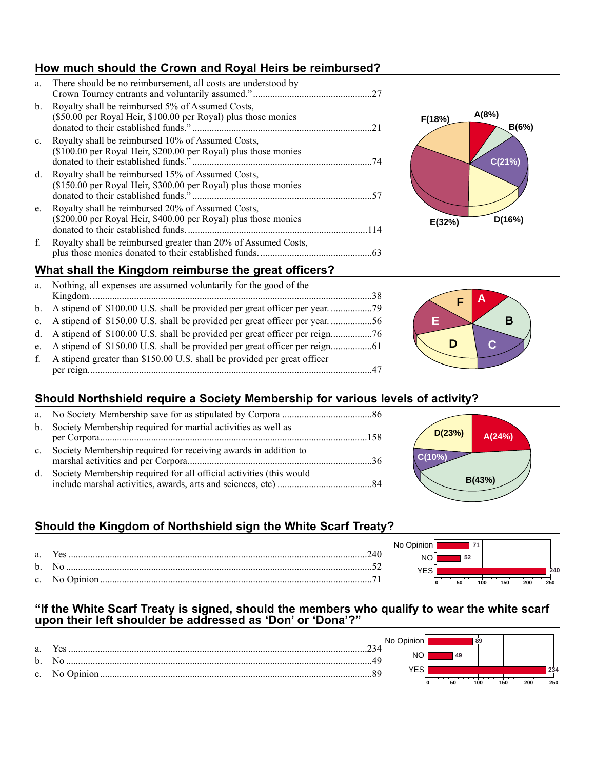## **How much should the Crown and Royal Heirs be reimbursed?**

| a.          | There should be no reimbursement, all costs are understood by                                                        | 27  |
|-------------|----------------------------------------------------------------------------------------------------------------------|-----|
| $b_{\cdot}$ | Royalty shall be reimbursed 5% of Assumed Costs,<br>(\$50.00 per Royal Heir, \$100.00 per Royal) plus those monies   | 21  |
| $c_{\cdot}$ | Royalty shall be reimbursed 10% of Assumed Costs,<br>(\$100.00 per Royal Heir, \$200.00 per Royal) plus those monies | .74 |
| d.          | Royalty shall be reimbursed 15% of Assumed Costs,<br>(\$150.00 per Royal Heir, \$300.00 per Royal) plus those monies | -57 |
| e.          | Royalty shall be reimbursed 20% of Assumed Costs,<br>(\$200.00 per Royal Heir, \$400.00 per Royal) plus those monies |     |
| f.          | Royalty shall be reimbursed greater than 20% of Assumed Costs,                                                       | .63 |



#### **What shall the Kingdom reimburse the great officers?**

| a.          | Nothing, all expenses are assumed voluntarily for the good of the             |  |
|-------------|-------------------------------------------------------------------------------|--|
|             |                                                                               |  |
|             |                                                                               |  |
|             | c. A stipend of \$150.00 U.S. shall be provided per great officer per year56  |  |
|             | d. A stipend of \$100.00 U.S. shall be provided per great officer per reign76 |  |
|             |                                                                               |  |
| $f_{\cdot}$ | A stipend greater than \$150.00 U.S. shall be provided per great officer      |  |
|             |                                                                               |  |



#### **Should Northshield require a Society Membership for various levels of activity?**

|             | b. Society Membership required for martial activities as well as    |  |
|-------------|---------------------------------------------------------------------|--|
|             |                                                                     |  |
| $c_{\cdot}$ | Society Membership required for receiving awards in addition to     |  |
| d.          | Society Membership required for all official activities (this would |  |
|             |                                                                     |  |



**52 71**

**0 50 100 150 200 250**

**240**

YES NO No Opinion

## **Should the Kingdom of Northshield sign the White Scarf Treaty?**

#### "If the White Scarf Treaty is signed, should the members who qualify to wear the white scarf **upon their left shoulder be addressed as ëDoní or ëDonaí?î**